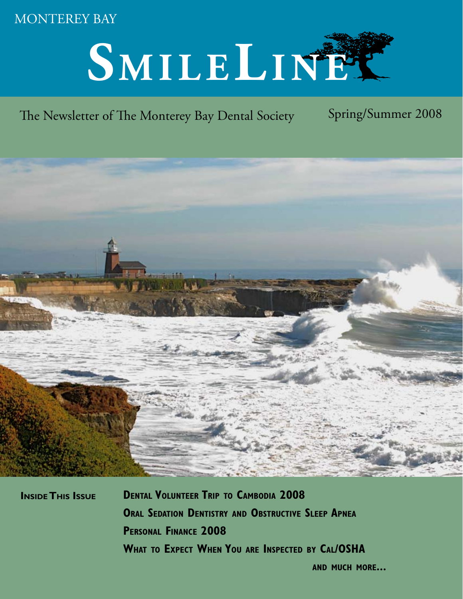# MONTEREY BAY

# SMILELINET

# The Newsletter of The Monterey Bay Dental Society Spring/Summer 2008



**Inside This Issue Dental Volunteer Trip to Cambodia 2008 Oral Sedation Dentistry and Obstructive Sleep Apnea Personal Finance 2008 What to Expect When You are Inspected by Cal/OSHA**

**and much more...**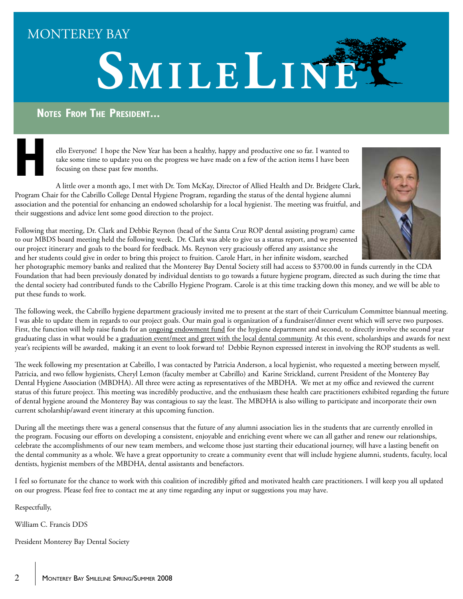# MONTEREY BAY



# **Notes From The President...**

ello Everyone! I hope the New Year has been a healthy, happy and productive one so far. I wanted to take some time to update you on the progress we have made on a few of the action items I have been focusing on these past few months.

A little over a month ago, I met with Dr. Tom McKay, Director of Allied Health and Dr. Bridgete Clark, Program Chair for the Cabrillo College Dental Hygiene Program, regarding the status of the dental hygiene alumni association and the potential for enhancing an endowed scholarship for a local hygienist. The meeting was fruitful, and their suggestions and advice lent some good direction to the project. **H**



Following that meeting, Dr. Clark and Debbie Reynon (head of the Santa Cruz ROP dental assisting program) came to our MBDS board meeting held the following week. Dr. Clark was able to give us a status report, and we presented our project itinerary and goals to the board for feedback. Ms. Reynon very graciously offered any assistance she and her students could give in order to bring this project to fruition. Carole Hart, in her infinite wisdom, searched

her photographic memory banks and realized that the Monterey Bay Dental Society still had access to \$3700.00 in funds currently in the CDA Foundation that had been previously donated by individual dentists to go towards a future hygiene program, directed as such during the time that the dental society had contributed funds to the Cabrillo Hygiene Program. Carole is at this time tracking down this money, and we will be able to put these funds to work.

The following week, the Cabrillo hygiene department graciously invited me to present at the start of their Curriculum Committee biannual meeting. I was able to update them in regards to our project goals. Our main goal is organization of a fundraiser/dinner event which will serve two purposes. First, the function will help raise funds for an <u>ongoing endowment fund</u> for the hygiene department and second, to directly involve the second year graduating class in what would be a graduation event/meet and greet with the local dental community. At this event, scholarships and awards for next year's recipients will be awarded, making it an event to look forward to! Debbie Reynon expressed interest in involving the ROP students as well.

The week following my presentation at Cabrillo, I was contacted by Patricia Anderson, a local hygienist, who requested a meeting between myself, Patricia, and two fellow hygienists, Cheryl Lemon (faculty member at Cabrillo) and Karine Strickland, current President of the Monterey Bay Dental Hygiene Association (MBDHA). All three were acting as representatives of the MBDHA. We met at my office and reviewed the current status of this future project. This meeting was incredibly productive, and the enthusiasm these health care practitioners exhibited regarding the future of dental hygiene around the Monterey Bay was contagious to say the least. The MBDHA is also willing to participate and incorporate their own current scholarship/award event itinerary at this upcoming function.

During all the meetings there was a general consensus that the future of any alumni association lies in the students that are currently enrolled in the program. Focusing our efforts on developing a consistent, enjoyable and enriching event where we can all gather and renew our relationships, celebrate the accomplishments of our new team members, and welcome those just starting their educational journey, will have a lasting benefit on the dental community as a whole. We have a great opportunity to create a community event that will include hygiene alumni, students, faculty, local dentists, hygienist members of the MBDHA, dental assistants and benefactors.

I feel so fortunate for the chance to work with this coalition of incredibly gifted and motivated health care practitioners. I will keep you all updated on our progress. Please feel free to contact me at any time regarding any input or suggestions you may have.

Respectfully,

William C. Francis DDS

President Monterey Bay Dental Society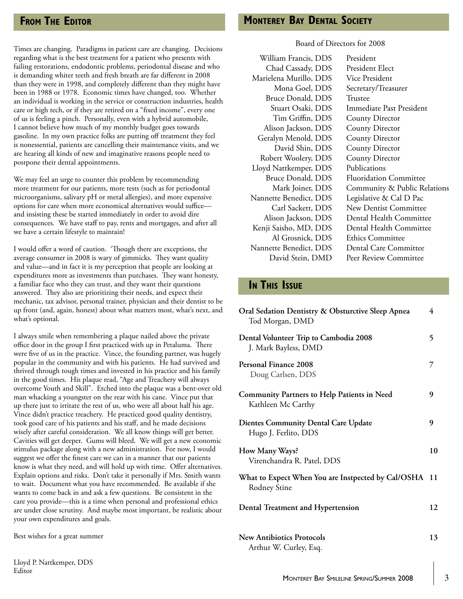## **From The Editor**

Times are changing. Paradigms in patient care are changing. Decisions regarding what is the best treatment for a patient who presents with failing restorations, endodontic problems, periodontal disease and who is demanding whiter teeth and fresh breath are far different in 2008 than they were in 1998, and completely different than they might have been in 1988 or 1978. Economic times have changed, too. Whether an individual is working in the service or construction industries, health care or high tech, or if they are retired on a "fixed income", every one of us is feeling a pinch. Personally, even with a hybrid automobile, I cannot believe how much of my monthly budget goes towards gasoline. In my own practice folks are putting off treatment they feel is nonessential, patients are cancelling their maintenance visits, and we are hearing all kinds of new and imaginative reasons people need to postpone their dental appointments.

We may feel an urge to counter this problem by recommending more treatment for our patients, more tests (such as for periodontal microorganisms, salivary pH or metal allergies), and more expensive options for care when more economical alternatives would suffice and insisting these be started immediately in order to avoid dire consequences. We have staff to pay, rents and mortgages, and after all we have a certain lifestyle to maintain!

I would offer a word of caution. 'Though there are exceptions, the average consumer in 2008 is wary of gimmicks. They want quality and value—and in fact it is my perception that people are looking at expenditures more as investments than purchases. They want honesty, a familiar face who they can trust, and they want their questions answered. They also are prioritizing their needs, and expect their mechanic, tax advisor, personal trainer, physician and their dentist to be up front (and, again, honest) about what matters most, what's next, and what's optional.

I always smile when remembering a plaque nailed above the private office door in the group I first practiced with up in Petaluma. There were five of us in the practice. Vince, the founding partner, was hugely popular in the community and with his patients. He had survived and thrived through tough times and invested in his practice and his family in the good times. His plaque read, "Age and Treachery will always overcome Youth and Skill". Etched into the plaque was a bent-over old man whacking a youngster on the rear with his cane. Vince put that up there just to irritate the rest of us, who were all about half his age. Vince didn't practice treachery. He practiced good quality dentistry, took good care of his patients and his staff, and he made decisions wisely after careful consideration. We all know things will get better. Cavities will get deeper. Gums will bleed. We will get a new economic stimulus package along with a new administration. For now, I would suggest we offer the finest care we can in a manner that our patients know is what they need, and will hold up with time. Offer alternatives. Explain options and risks. Don't take it personally if Mrs. Smith wants to wait. Document what you have recommended. Be available if she wants to come back in and ask a few questions. Be consistent in the care you provide—this is a time when personal and professional ethics are under close scrutiny. And maybe most important, be realistic about your own expenditures and goals.

Best wishes for a great summer

#### Board of Directors for 2008

President President Elect Vice President Secretary/Treasurer Trustee Immediate Past President County Director County Director County Director County Director County Director Publications Fluoridation Committee Community & Public Relations Legislative & Cal D Pac New Dentist Committee Dental Health Committee Dental Health Committee Ethics Committee Dental Care Committee Peer Review Committee William Francis, DDS Chad Cassady, DDS Marielena Murillo, DDS Mona Goel, DDS Bruce Donald, DDS Stuart Osaki, DDS Tim Griffin, DDS Alison Jackson, DDS Geralyn Menold, DDS David Shin, DDS Robert Woolery, DDS Lloyd Nattkemper, DDS Bruce Donald, DDS Mark Joiner, DDS Nannette Benedict, DDS Carl Sackett, DDS Alison Jackson, DDS Kenji Saisho, MD, DDS Al Grosnick, DDS Nannette Benedict, DDS David Stein, DMD

# **In This Issue**

| Oral Sedation Dentistry & Obsturctive Sleep Apnea<br>Tod Morgan, DMD     | 4  |
|--------------------------------------------------------------------------|----|
| Dental Volunteer Trip to Cambodia 2008<br>J. Mark Bayless, DMD           | 5  |
| Personal Finance 2008<br>Doug Carlsen, DDS                               | 7  |
| <b>Community Partners to Help Patients in Need</b><br>Kathleen Mc Carthy | 9  |
| <b>Dientes Community Dental Care Update</b><br>Hugo J. Ferlito, DDS      | 9  |
| How Many Ways?<br>Virenchandra R. Patel, DDS                             | 10 |
| What to Expect When You are Instpected by Cal/OSHA 11<br>Rodney Stine    |    |
| Dental Treatment and Hypertension                                        | 12 |
| <b>New Antibiotics Protocols</b><br>Arthur W. Curley, Esq.               | 13 |

Lloyd P. Nattkemper, DDS Editor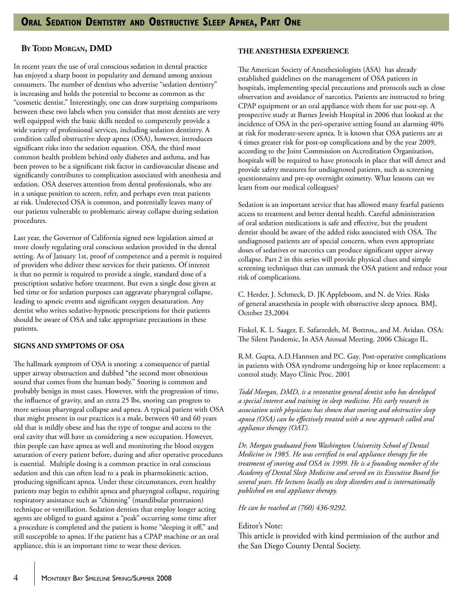#### **By Todd Morgan, DMD**

In recent years the use of oral conscious sedation in dental practice has enjoyed a sharp boost in popularity and demand among anxious consumers. The number of dentists who advertise "sedation dentistry" is increasing and holds the potential to become as common as the "cosmetic dentist." Interestingly, one can draw surprising comparisons between these two labels when you consider that most dentists are very well equipped with the basic skills needed to competently provide a wide variety of professional services, including sedation dentistry. A condition called obstructive sleep apnea (OSA), however, introduces significant risks into the sedation equation. OSA, the third most common health problem behind only diabetes and asthma, and has been proven to be a significant risk factor in cardiovascular disease and significantly contributes to complication associated with anesthesia and sedation. OSA deserves attention from dental professionals, who are in a unique position to screen, refer, and perhaps even treat patients at risk. Undetected OSA is common, and potentially leaves many of our patients vulnerable to problematic airway collapse during sedation procedures.

Last year, the Governor of California signed new legislation aimed at more closely regulating oral conscious sedation provided in the dental setting. As of January 1st, proof of competence and a permit is required of providers who deliver these services for their patients. Of interest is that no permit is required to provide a single, standard dose of a prescription sedative before treatment. But even a single dose given at bed time or for sedation purposes can aggravate pharyngeal collapse, leading to apneic events and significant oxygen desaturation. Any dentist who writes sedative-hypnotic prescriptions for their patients should be aware of OSA and take appropriate precautions in these patients.

#### **SIGNS AND SYMPTOMS OF OSA**

The hallmark symptom of OSA is snoring: a consequence of partial upper airway obstruction and dubbed "the second most obnoxious sound that comes from the human body." Snoring is common and probably benign in most cases. However, with the progression of time, the influence of gravity, and an extra 25 lbs, snoring can progress to more serious pharyngeal collapse and apnea. A typical patient with OSA that might present in our practices is a male, between 40 and 60 years old that is mildly obese and has the type of tongue and access to the oral cavity that will have us considering a new occupation. However, thin people can have apnea as well and monitoring the blood oxygen saturation of every patient before, during and after operative procedures is essential. Multiple dosing is a common practice in oral conscious sedation and this can often lead to a peak in pharmokinetic action, producing significant apnea. Under these circumstances, even healthy patients may begin to exhibit apnea and pharyngeal collapse, requiring respiratory assistance such as "chinning" (mandibular protrusion) technique or ventillation. Sedation dentists that employ longer acting agents are obliged to guard against a "peak" occurring some time after a procedure is completed and the patient is home "sleeping it off," and still susceptible to apnea. If the patient has a CPAP machine or an oral appliance, this is an important time to wear these devices.

#### **THE ANESTHESIA EXPERIENCE**

The American Society of Anesthesiologists (ASA) has already established guidelines on the management of OSA patients in hospitals, implementing special precautions and protocols such as close observation and avoidance of narcotics. Patients are instructed to bring CPAP equipment or an oral appliance with them for use post-op. A prospective study at Barnes Jewish Hospital in 2006 that looked at the incidence of OSA in the peri-operative setting found an alarming 40% at risk for moderate-severe apnea. It is known that OSA patients are at 4 times greater risk for post-op complications and by the year 2009, according to the Joint Commission on Accreditation Organization, hospitals will be required to have protocols in place that will detect and provide safety measures for undiagnosed patients, such as screening questionnaires and pre-op overnight oximetry. What lessons can we learn from our medical colleagues?

Sedation is an important service that has allowed many fearful patients access to treatment and better dental health. Careful administration of oral sedation medications is safe and effective, but the prudent dentist should be aware of the added risks associated with OSA. The undiagnosed patients are of special concern, when even appropriate doses of sedatives or narcotics can produce significant upper airway collapse. Part 2 in this series will provide physical clues and simple screening techniques that can unmask the OSA patient and reduce your risk of complications.

C. Herder, J. Schmeck, D. JK Appleboom, and N. de Vries. Risks of general anaesthesia in people with obstructive sleep apnoea. BMJ, October 23,2004

Finkel, K. L. Saager, E. Safarzedeh, M. Bottros,, and M. Avidan. OSA: The Silent Pandemic, In ASA Annual Meeting. 2006 Chicago IL.

R.M. Gupta, A.D.Hannsen and P.C. Gay. Post-operative complications in patients with OSA syndrome undergoing hip or knee replacement: a control study. Mayo Clinic Proc. 2001

*Todd Morgan, DMD, is a restorative general dentist who has developed a special interest and training in sleep medicine. His early research in association with physicians has shown that snoring and obstructive sleep apnea (OSA) can be effectively treated with a new approach called oral appliance therapy (OAT).*

*Dr. Morgan graduated from Washington University School of Dental Medicine in 1985. He was certified in oral appliance therapy for the treatment of snoring and OSA in 1999. He is a founding member of the Academy of Dental Sleep Medicine and served on its Executive Board for several years. He lectures locally on sleep disorders and is internationally published on oral appliance therapy.* 

*He can be reached at (760) 436-9292.*

#### Editor's Note:

This article is provided with kind permission of the author and the San Diego County Dental Society.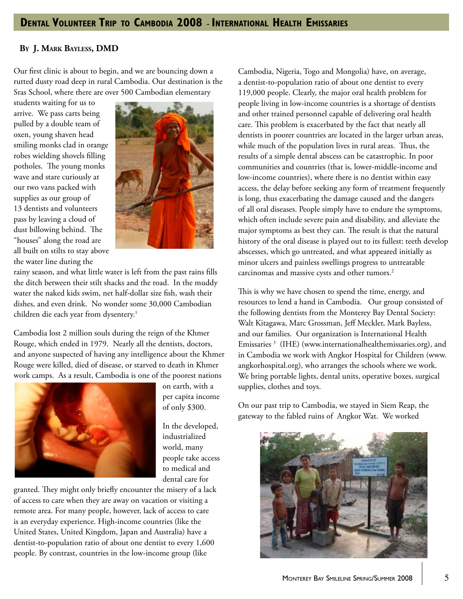# **Dental Volunteer Trip to Cambodia 2008 - International Health Emissaries**

#### **By J. Mark Bayless, DMD**

Our first clinic is about to begin, and we are bouncing down a rutted dusty road deep in rural Cambodia. Our destination is the Sras School, where there are over 500 Cambodian elementary

students waiting for us to arrive. We pass carts being pulled by a double team of oxen, young shaven head smiling monks clad in orange robes wielding shovels filling potholes. The young monks wave and stare curiously at our two vans packed with supplies as our group of 13 dentists and volunteers pass by leaving a cloud of dust billowing behind. The "houses" along the road are all built on stilts to stay above the water line during the



rainy season, and what little water is left from the past rains fills the ditch between their stilt shacks and the road. In the muddy water the naked kids swim, net half-dollar size fish, wash their dishes, and even drink. No wonder some 30,000 Cambodian children die each year from dysentery.<sup>1</sup>

Cambodia lost 2 million souls during the reign of the Khmer Rouge, which ended in 1979. Nearly all the dentists, doctors, and anyone suspected of having any intelligence about the Khmer Rouge were killed, died of disease, or starved to death in Khmer work camps. As a result, Cambodia is one of the poorest nations



on earth, with a per capita income of only \$300.

In the developed, industrialized world, many people take access to medical and dental care for

granted. They might only briefly encounter the misery of a lack of access to care when they are away on vacation or visiting a remote area. For many people, however, lack of access to care is an everyday experience. High-income countries (like the United States, United Kingdom, Japan and Australia) have a dentist-to-population ratio of about one dentist to every 1,600 people. By contrast, countries in the low-income group (like

Cambodia, Nigeria, Togo and Mongolia) have, on average, a dentist-to-population ratio of about one dentist to every 119,000 people. Clearly, the major oral health problem for people living in low-income countries is a shortage of dentists and other trained personnel capable of delivering oral health care. This problem is exacerbated by the fact that nearly all dentists in poorer countries are located in the larger urban areas, while much of the population lives in rural areas. Thus, the results of a simple dental abscess can be catastrophic. In poor communities and countries (that is, lower-middle-income and low-income countries), where there is no dentist within easy access, the delay before seeking any form of treatment frequently is long, thus exacerbating the damage caused and the dangers of all oral diseases. People simply have to endure the symptoms, which often include severe pain and disability, and alleviate the major symptoms as best they can. The result is that the natural history of the oral disease is played out to its fullest: teeth develop abscesses, which go untreated, and what appeared initially as minor ulcers and painless swellings progress to untreatable carcinomas and massive cysts and other tumors.<sup>2</sup>

This is why we have chosen to spend the time, energy, and resources to lend a hand in Cambodia. Our group consisted of the following dentists from the Monterey Bay Dental Society: Walt Kitagawa, Marc Grossman, Jeff Meckler, Mark Bayless, and our families. Our organization is International Health Emissaries 3 (IHE) (www.internationalhealthemissaries.org), and in Cambodia we work with Angkor Hospital for Children (www. angkorhospital.org), who arranges the schools where we work. We bring portable lights, dental units, operative boxes, surgical supplies, clothes and toys.

On our past trip to Cambodia, we stayed in Siem Reap, the gateway to the fabled ruins of Angkor Wat. We worked

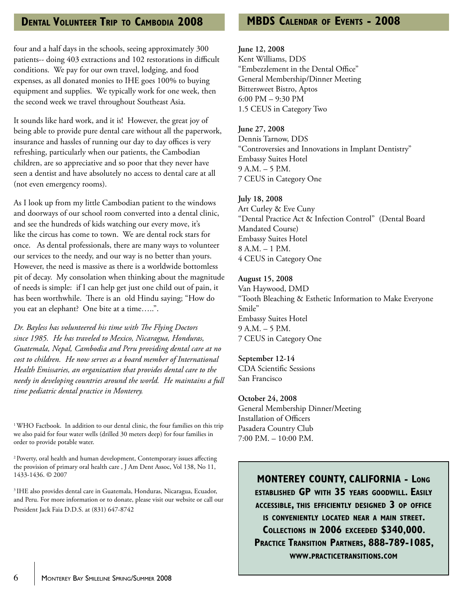# **Dental Volunteer Trip to Cambodia 2008**

four and a half days in the schools, seeing approximately 300 patients-- doing 403 extractions and 102 restorations in difficult conditions. We pay for our own travel, lodging, and food expenses, as all donated monies to IHE goes 100% to buying equipment and supplies. We typically work for one week, then the second week we travel throughout Southeast Asia.

It sounds like hard work, and it is! However, the great joy of being able to provide pure dental care without all the paperwork, insurance and hassles of running our day to day offices is very refreshing, particularly when our patients, the Cambodian children, are so appreciative and so poor that they never have seen a dentist and have absolutely no access to dental care at all (not even emergency rooms).

As I look up from my little Cambodian patient to the windows and doorways of our school room converted into a dental clinic, and see the hundreds of kids watching our every move, it's like the circus has come to town. We are dental rock stars for once. As dental professionals, there are many ways to volunteer our services to the needy, and our way is no better than yours. However, the need is massive as there is a worldwide bottomless pit of decay. My consolation when thinking about the magnitude of needs is simple: if I can help get just one child out of pain, it has been worthwhile. There is an old Hindu saying; "How do you eat an elephant? One bite at a time…..".

*Dr. Bayless has volunteered his time with The Flying Doctors since 1985. He has traveled to Mexico, Nicaragua, Honduras, Guatemala, Nepal, Cambodia and Peru providing dental care at no cost to children. He now serves as a board member of International Health Emissaries, an organization that provides dental care to the needy in developing countries around the world. He maintains a full time pediatric dental practice in Monterey.*

<sup>1</sup> WHO Factbook. In addition to our dental clinic, the four families on this trip we also paid for four water wells (drilled 30 meters deep) for four families in order to provide potable water.

2 Poverty, oral health and human development, Contemporary issues affecting the provision of primary oral health care , J Am Dent Assoc, Vol 138, No 11, 1433-1436. © 2007

<sup>3</sup> IHE also provides dental care in Guatemala, Honduras, Nicaragua, Ecuador, and Peru. For more information or to donate, please visit our website or call our President Jack Faia D.D.S. at (831) 647-8742

# **MBDS Calendar of Events - 2008**

#### **June 12, 2008**

Kent Williams, DDS "Embezzlement in the Dental Office" General Membership/Dinner Meeting Bittersweet Bistro, Aptos 6:00 PM – 9:30 PM 1.5 CEUS in Category Two

#### **June 27, 2008**

Dennis Tarnow, DDS "Controversies and Innovations in Implant Dentistry" Embassy Suites Hotel 9 A.M. – 5 P.M. 7 CEUS in Category One

#### **July 18, 2008**

Art Curley & Eve Cuny "Dental Practice Act & Infection Control" (Dental Board Mandated Course) Embassy Suites Hotel 8 A.M. – 1 P.M. 4 CEUS in Category One

#### **August 15, 2008**

Van Haywood, DMD "Tooth Bleaching & Esthetic Information to Make Everyone Smile" Embassy Suites Hotel 9 A.M. – 5 P.M. 7 CEUS in Category One

#### **September 12-14**

CDA Scientific Sessions San Francisco

#### **October 24, 2008**

General Membership Dinner/Meeting Installation of Officers Pasadera Country Club  $7:00$  P.M.  $-10:00$  P.M.

> **MONTEREY COUNTY, CALIFORNIA - Long established GP with 35 years goodwill. Easily accessible, this efficiently designed 3 op office is conveniently located near a main street. Collections in 2006 exceeded \$340,000. Practice Transition Partners, 888-789-1085, www.practicetransitions.com**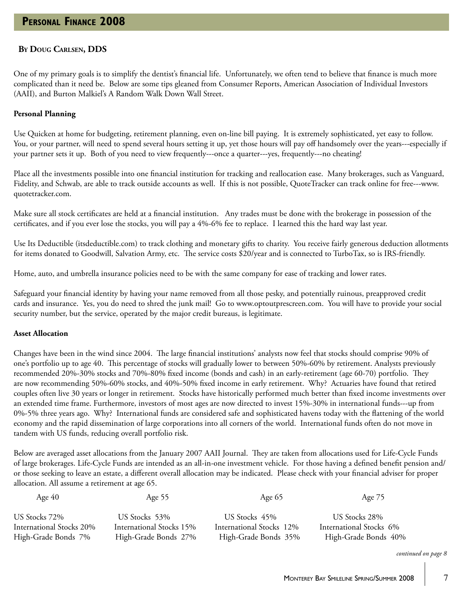#### **By Doug Carlsen, DDS**

One of my primary goals is to simplify the dentist's financial life. Unfortunately, we often tend to believe that finance is much more complicated than it need be. Below are some tips gleaned from Consumer Reports, American Association of Individual Investors (AAII), and Burton Malkiel's A Random Walk Down Wall Street.

#### **Personal Planning**

Use Quicken at home for budgeting, retirement planning, even on-line bill paying. It is extremely sophisticated, yet easy to follow. You, or your partner, will need to spend several hours setting it up, yet those hours will pay off handsomely over the years---especially if your partner sets it up. Both of you need to view frequently---once a quarter---yes, frequently---no cheating!

Place all the investments possible into one financial institution for tracking and reallocation ease. Many brokerages, such as Vanguard, Fidelity, and Schwab, are able to track outside accounts as well. If this is not possible, QuoteTracker can track online for free---www. quotetracker.com.

Make sure all stock certificates are held at a financial institution. Any trades must be done with the brokerage in possession of the certificates, and if you ever lose the stocks, you will pay a 4%-6% fee to replace. I learned this the hard way last year.

Use Its Deductible (itsdeductible.com) to track clothing and monetary gifts to charity. You receive fairly generous deduction allotments for items donated to Goodwill, Salvation Army, etc. The service costs \$20/year and is connected to TurboTax, so is IRS-friendly.

Home, auto, and umbrella insurance policies need to be with the same company for ease of tracking and lower rates.

Safeguard your financial identity by having your name removed from all those pesky, and potentially ruinous, preapproved credit cards and insurance. Yes, you do need to shred the junk mail! Go to www.optoutprescreen.com. You will have to provide your social security number, but the service, operated by the major credit bureaus, is legitimate.

#### **Asset Allocation**

Changes have been in the wind since 2004. The large financial institutions' analysts now feel that stocks should comprise 90% of one's portfolio up to age 40. This percentage of stocks will gradually lower to between 50%-60% by retirement. Analysts previously recommended 20%-30% stocks and 70%-80% fixed income (bonds and cash) in an early-retirement (age 60-70) portfolio. They are now recommending 50%-60% stocks, and 40%-50% fixed income in early retirement. Why? Actuaries have found that retired couples often live 30 years or longer in retirement. Stocks have historically performed much better than fixed income investments over an extended time frame. Furthermore, investors of most ages are now directed to invest 15%-30% in international funds---up from 0%-5% three years ago. Why? International funds are considered safe and sophisticated havens today with the flattening of the world economy and the rapid dissemination of large corporations into all corners of the world. International funds often do not move in tandem with US funds, reducing overall portfolio risk.

Below are averaged asset allocations from the January 2007 AAII Journal. They are taken from allocations used for Life-Cycle Funds of large brokerages. Life-Cycle Funds are intended as an all-in-one investment vehicle. For those having a defined benefit pension and/ or those seeking to leave an estate, a different overall allocation may be indicated. Please check with your financial adviser for proper allocation. All assume a retirement at age 65.

| Age $40$                 | Age $55$                 | Age $65$                 | Age 75                  |
|--------------------------|--------------------------|--------------------------|-------------------------|
| US Stocks 72%            | US Stocks 53%            | US Stocks 45%            | US Stocks 28%           |
| International Stocks 20% | International Stocks 15% | International Stocks 12% | International Stocks 6% |
| High-Grade Bonds 7%      | High-Grade Bonds 27%     | High-Grade Bonds 35%     | High-Grade Bonds 40%    |

*continued on page 8*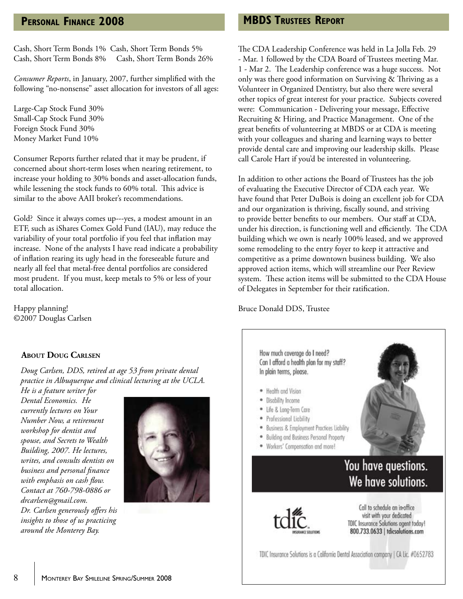# **Personal Finance 2008**

Cash, Short Term Bonds 1% Cash, Short Term Bonds 5% Cash, Short Term Bonds 8% Cash, Short Term Bonds 26%

*Consumer Reports*, in January, 2007, further simplified with the following "no-nonsense" asset allocation for investors of all ages:

Large-Cap Stock Fund 30% Small-Cap Stock Fund 30% Foreign Stock Fund 30% Money Market Fund 10%

Consumer Reports further related that it may be prudent, if concerned about short-term loses when nearing retirement, to increase your holding to 30% bonds and asset-allocation funds, while lessening the stock funds to 60% total. This advice is similar to the above AAII broker's recommendations.

Gold? Since it always comes up---yes, a modest amount in an ETF, such as iShares Comex Gold Fund (IAU), may reduce the variability of your total portfolio if you feel that inflation may increase. None of the analysts I have read indicate a probability of inflation rearing its ugly head in the foreseeable future and nearly all feel that metal-free dental portfolios are considered most prudent. If you must, keep metals to 5% or less of your total allocation.

Happy planning! ©2007 Douglas Carlsen

#### **About Doug Carlsen**

*Doug Carlsen, DDS, retired at age 53 from private dental practice in Albuquerque and clinical lecturing at the UCLA.* 

*He is a feature writer for Dental Economics. He currently lectures on Your Number Now, a retirement workshop for dentist and spouse, and Secrets to Wealth Building, 2007. He lectures, writes, and consults dentists on business and personal finance with emphasis on cash flow. Contact at 760-798-0886 or drcarlsen@gmail.com. Dr. Carlsen generously offers his insights to those of us practicing around the Monterey Bay.* 



**MBDS Trustees Report**

The CDA Leadership Conference was held in La Jolla Feb. 29 - Mar. 1 followed by the CDA Board of Trustees meeting Mar. 1 - Mar 2. The Leadership conference was a huge success. Not only was there good information on Surviving & Thriving as a Volunteer in Organized Dentistry, but also there were several other topics of great interest for your practice. Subjects covered were: Communication - Delivering your message, Effective Recruiting & Hiring, and Practice Management. One of the great benefits of volunteering at MBDS or at CDA is meeting with your colleagues and sharing and learning ways to better provide dental care and improving our leadership skills. Please call Carole Hart if you'd be interested in volunteering.

In addition to other actions the Board of Trustees has the job of evaluating the Executive Director of CDA each year. We have found that Peter DuBois is doing an excellent job for CDA and our organization is thriving, fiscally sound, and striving to provide better benefits to our members. Our staff at CDA, under his direction, is functioning well and efficiently. The CDA building which we own is nearly 100% leased, and we approved some remodeling to the entry foyer to keep it attractive and competitive as a prime downtown business building. We also approved action items, which will streamline our Peer Review system. These action items will be submitted to the CDA House of Delegates in September for their ratification.

#### Bruce Donald DDS, Trustee





Call to schedule an in-office visit with your dedicated TDIC Insurance Solutions agent today! 800.733.0633 | tdicsolutions.com

TDIC Insurance Solutions is a California Dental Association company | CA Lic. #0652783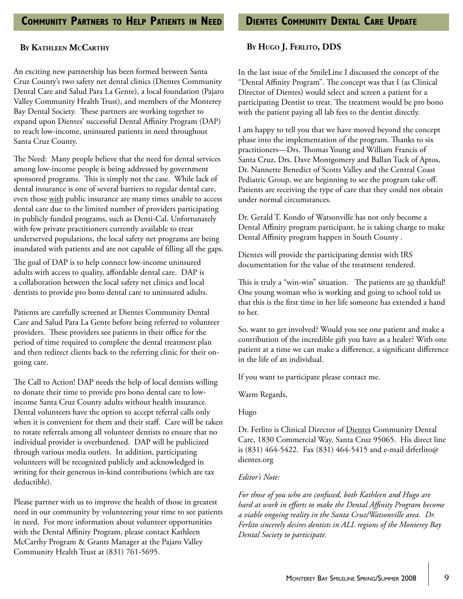#### **By Kathleen McCarthy**

An exciting new partnership has been formed between Santa Cruz County's two safety net dental clinics (Dientes Community Dental Care and Salud Para La Gente), a local foundation (Pajaro Valley Community Health Trust), and members of the Monterey Bay Dental Society. These partners are working together to expand upon Dientes' successful Dental Affinity Program (DAP) to reach low-income, uninsured patients in need throughout Santa Cruz County.

The Need: Many people believe that the need for dental services among low-income people is being addressed by government sponsored programs. This is simply not the case. While lack of dental insurance is one of several barriers to regular dental care, even those with public insurance are many times unable to access dental care due to the limited number of providers participating in publicly funded programs, such as Denti-Cal. Unfortunately with few private practitioners currently available to treat underserved populations, the local safety net programs are being inundated with patients and are not capable of filling all the gaps.

The goal of DAP is to help connect low-income uninsured adults with access to quality, affordable dental care. DAP is a collaboration between the local safety net clinics and local dentists to provide pro bono dental care to uninsured adults.

Patients are carefully screened at Dientes Community Dental Care and Salud Para La Gente before being referred to volunteer providers. These providers see patients in their office for the period of time required to complete the dental treatment plan and then redirect clients back to the referring clinic for their ongoing care.

The Call to Action! DAP needs the help of local dentists willing to donate their time to provide pro bono dental care to lowincome Santa Cruz County adults without health insurance. Dental volunteers have the option to accept referral calls only when it is convenient for them and their staff. Care will be taken to rotate referrals among all volunteer dentists to ensure that no individual provider is overburdened. DAP will be publicized through various media outlets. In addition, participating volunteers will be recognized publicly and acknowledged in writing for their generous in-kind contributions (which are tax deductible).

Please partner with us to improve the health of those in greatest need in our community by volunteering your time to see patients in need. For more information about volunteer opportunities with the Dental Affinity Program, please contact Kathleen McCarthy Program & Grants Manager at the Pajaro Valley Community Health Trust at (831) 761-5695.

#### **By Hugo J. Ferlito, DDS**

In the last issue of the SmileLine I discussed the concept of the "Dental Affinity Program". The concept was that I (as Clinical Director of Dientes) would select and screen a patient for a participating Dentist to treat. The treatment would be pro bono with the patient paying all lab fees to the dentist directly.

I am happy to tell you that we have moved beyond the concept phase into the implementation of the program. Thanks to six practitioners—Drs. Thomas Young and William Francis of Santa Cruz, Drs. Dave Montgomery and Ballan Tuck of Aptos, Dr. Nannette Benedict of Scotts Valley and the Central Coast Pediatric Group, we are beginning to see the program take off. Patients are receiving the type of care that they could not obtain under normal circumstances.

Dr. Gerald T. Kondo of Watsonville has not only become a Dental Affinity program participant, he is taking charge to make Dental Affinity program happen in South County .

Dientes will provide the participating dentist with IRS documentation for the value of the treatment rendered.

This is truly a "win-win" situation. The patients are so thankful! One young woman who is working and going to school told us that this is the first time in her life someone has extended a hand to her.

So, want to get involved? Would you see one patient and make a contribution of the incredible gift you have as a healer? With one patient at a time we can make a difference, a significant difference in the life of an individual.

If you want to participate please contact me.

Warm Regards,

Hugo

Dr. Ferlito is Clinical Director of Dientes Community Dental Care, 1830 Commercial Way, Santa Cruz 95065. His direct line is (831) 464-5422. Fax (831) 464-5415 and e-mail drferlito@ dientes.org

#### *Editor's Note:*

*For those of you who are confused, both Kathleen and Hugo are hard at work in efforts to make the Dental Affinity Program become a viable ongoing reality in the Santa Cruz/Watsonville area. Dr. Ferlito sincerely desires dentists in ALL regions of the Monterey Bay Dental Society to participate.*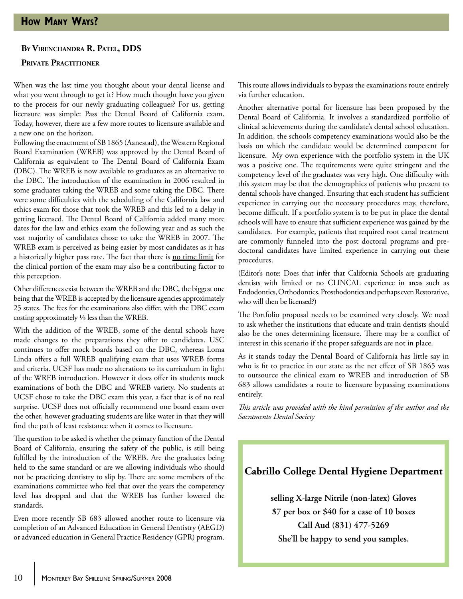#### **By Virenchandra R. Patel, DDS**

#### **PRIVATE PRACTITIONER**

When was the last time you thought about your dental license and what you went through to get it? How much thought have you given to the process for our newly graduating colleagues? For us, getting licensure was simple: Pass the Dental Board of California exam. Today, however, there are a few more routes to licensure available and a new one on the horizon.

Following the enactment of SB 1865 (Aanestad), the Western Regional Board Examination (WREB) was approved by the Dental Board of California as equivalent to The Dental Board of California Exam (DBC). The WREB is now available to graduates as an alternative to the DBC. The introduction of the examination in 2006 resulted in some graduates taking the WREB and some taking the DBC. There were some difficulties with the scheduling of the California law and ethics exam for those that took the WREB and this led to a delay in getting licensed. The Dental Board of California added many more dates for the law and ethics exam the following year and as such the vast majority of candidates chose to take the WREB in 2007. The WREB exam is perceived as being easier by most candidates as it has a historically higher pass rate. The fact that there is no time limit for the clinical portion of the exam may also be a contributing factor to this perception.

Other differences exist between the WREB and the DBC, the biggest one being that the WREB is accepted by the licensure agencies approximately 25 states. The fees for the examinations also differ, with the DBC exam costing approximately ⅓ less than the WREB.

With the addition of the WREB, some of the dental schools have made changes to the preparations they offer to candidates. USC continues to offer mock boards based on the DBC, whereas Loma Linda offers a full WREB qualifying exam that uses WREB forms and criteria. UCSF has made no alterations to its curriculum in light of the WREB introduction. However it does offer its students mock examinations of both the DBC and WREB variety. No students at UCSF chose to take the DBC exam this year, a fact that is of no real surprise. UCSF does not officially recommend one board exam over the other, however graduating students are like water in that they will find the path of least resistance when it comes to licensure.

The question to be asked is whether the primary function of the Dental Board of California, ensuring the safety of the public, is still being fulfilled by the introduction of the WREB. Are the graduates being held to the same standard or are we allowing individuals who should not be practicing dentistry to slip by. There are some members of the examinations committee who feel that over the years the competency level has dropped and that the WREB has further lowered the standards.

Even more recently SB 683 allowed another route to licensure via completion of an Advanced Education in General Dentistry (AEGD) or advanced education in General Practice Residency (GPR) program. This route allows individuals to bypass the examinations route entirely via further education.

Another alternative portal for licensure has been proposed by the Dental Board of California. It involves a standardized portfolio of clinical achievements during the candidate's dental school education. In addition, the schools competency examinations would also be the basis on which the candidate would be determined competent for licensure. My own experience with the portfolio system in the UK was a positive one. The requirements were quite stringent and the competency level of the graduates was very high. One difficulty with this system may be that the demographics of patients who present to dental schools have changed. Ensuring that each student has sufficient experience in carrying out the necessary procedures may, therefore, become difficult. If a portfolio system is to be put in place the dental schools will have to ensure that sufficient experience was gained by the candidates. For example, patients that required root canal treatment are commonly funneled into the post doctoral programs and predoctoral candidates have limited experience in carrying out these procedures.

(Editor's note: Does that infer that California Schools are graduating dentists with limited or no CLINCAL experience in areas such as Endodontics, Orthodontics, Prosthodontics and perhaps even Restorative, who will then be licensed?)

The Portfolio proposal needs to be examined very closely. We need to ask whether the institutions that educate and train dentists should also be the ones determining licensure. There may be a conflict of interest in this scenario if the proper safeguards are not in place.

As it stands today the Dental Board of California has little say in who is fit to practice in our state as the net effect of SB 1865 was to outsource the clinical exam to WREB and introduction of SB 683 allows candidates a route to licensure bypassing examinations entirely.

*This article was provided with the kind permission of the author and the Sacramento Dental Society*

### **Cabrillo College Dental Hygiene Department**

**selling X-large Nitrile (non-latex) Gloves \$7 per box or \$40 for a case of 10 boxes Call Aud (831) 477-5269 She'll be happy to send you samples.**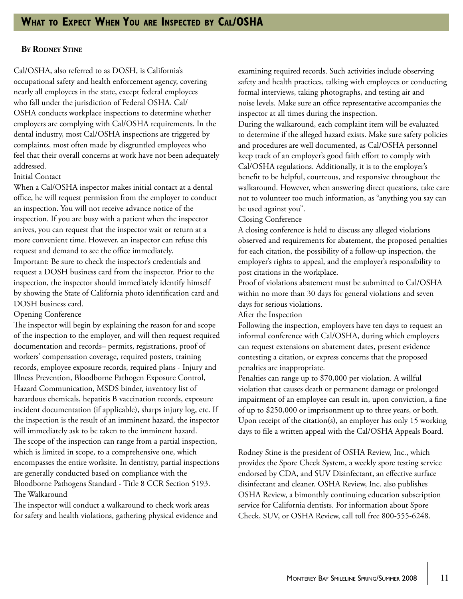#### **By Rodney Stine**

Cal/OSHA, also referred to as DOSH, is California's occupational safety and health enforcement agency, covering nearly all employees in the state, except federal employees who fall under the jurisdiction of Federal OSHA. Cal/ OSHA conducts workplace inspections to determine whether employers are complying with Cal/OSHA requirements. In the dental industry, most Cal/OSHA inspections are triggered by complaints, most often made by disgruntled employees who feel that their overall concerns at work have not been adequately addressed.

#### Initial Contact

When a Cal/OSHA inspector makes initial contact at a dental office, he will request permission from the employer to conduct an inspection. You will not receive advance notice of the inspection. If you are busy with a patient when the inspector arrives, you can request that the inspector wait or return at a more convenient time. However, an inspector can refuse this request and demand to see the office immediately. Important: Be sure to check the inspector's credentials and request a DOSH business card from the inspector. Prior to the inspection, the inspector should immediately identify himself by showing the State of California photo identification card and DOSH business card.

#### Opening Conference

The inspector will begin by explaining the reason for and scope of the inspection to the employer, and will then request required documentation and records– permits, registrations, proof of workers' compensation coverage, required posters, training records, employee exposure records, required plans - Injury and Illness Prevention, Bloodborne Pathogen Exposure Control, Hazard Communication, MSDS binder, inventory list of hazardous chemicals, hepatitis B vaccination records, exposure incident documentation (if applicable), sharps injury log, etc. If the inspection is the result of an imminent hazard, the inspector will immediately ask to be taken to the imminent hazard. The scope of the inspection can range from a partial inspection, which is limited in scope, to a comprehensive one, which encompasses the entire worksite. In dentistry, partial inspections are generally conducted based on compliance with the Bloodborne Pathogens Standard - Title 8 CCR Section 5193. The Walkaround

The inspector will conduct a walkaround to check work areas for safety and health violations, gathering physical evidence and examining required records. Such activities include observing safety and health practices, talking with employees or conducting formal interviews, taking photographs, and testing air and noise levels. Make sure an office representative accompanies the inspector at all times during the inspection.

During the walkaround, each complaint item will be evaluated to determine if the alleged hazard exists. Make sure safety policies and procedures are well documented, as Cal/OSHA personnel keep track of an employer's good faith effort to comply with Cal/OSHA regulations. Additionally, it is to the employer's benefit to be helpful, courteous, and responsive throughout the walkaround. However, when answering direct questions, take care not to volunteer too much information, as "anything you say can be used against you".

Closing Conference

A closing conference is held to discuss any alleged violations observed and requirements for abatement, the proposed penalties for each citation, the possibility of a follow-up inspection, the employer's rights to appeal, and the employer's responsibility to post citations in the workplace.

Proof of violations abatement must be submitted to Cal/OSHA within no more than 30 days for general violations and seven days for serious violations.

After the Inspection

Following the inspection, employers have ten days to request an informal conference with Cal/OSHA, during which employers can request extensions on abatement dates, present evidence contesting a citation, or express concerns that the proposed penalties are inappropriate.

Penalties can range up to \$70,000 per violation. A willful violation that causes death or permanent damage or prolonged impairment of an employee can result in, upon conviction, a fine of up to \$250,000 or imprisonment up to three years, or both. Upon receipt of the citation(s), an employer has only 15 working days to file a written appeal with the Cal/OSHA Appeals Board.

Rodney Stine is the president of OSHA Review, Inc., which provides the Spore Check System, a weekly spore testing service endorsed by CDA, and SUV Disinfectant, an effective surface disinfectant and cleaner. OSHA Review, Inc. also publishes OSHA Review, a bimonthly continuing education subscription service for California dentists. For information about Spore Check, SUV, or OSHA Review, call toll free 800-555-6248.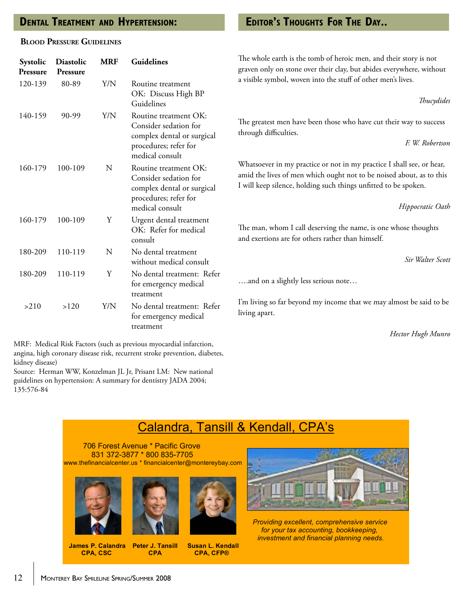# **Dental Treatment and Hypertension:**

#### **Blood Pressure Guidelines**

| Systolic<br>Pressure | <b>Diastolic</b><br>Pressure | <b>MRF</b> | Guidelines                                                                                                               |
|----------------------|------------------------------|------------|--------------------------------------------------------------------------------------------------------------------------|
| 120-139              | 80-89                        | Y/N        | Routine treatment<br>OK: Discuss High BP<br>Guidelines                                                                   |
| 140-159              | 90-99                        | Y/N        | Routine treatment OK:<br>Consider sedation for<br>complex dental or surgical<br>procedures; refer for<br>medical consult |
| 160-179              | 100-109                      | N          | Routine treatment OK:<br>Consider sedation for<br>complex dental or surgical<br>procedures; refer for<br>medical consult |
| 160-179              | 100-109                      | Y          | Urgent dental treatment<br>OK: Refer for medical<br>consult                                                              |
| 180-209              | 110-119                      | N          | No dental treatment<br>without medical consult                                                                           |
| 180-209              | 110-119                      | Y          | No dental treatment: Refer<br>for emergency medical<br>treatment                                                         |
| >210                 | >120                         | Y/N        | No dental treatment: Refer<br>for emergency medical<br>treatment                                                         |

MRF: Medical Risk Factors (such as previous myocardial infarction, angina, high coronary disease risk, recurrent stroke prevention, diabetes, kidney disease)

Source: Herman WW, Konzelman JL Jr, Prisant LM: New national guidelines on hypertension: A summary for dentistry JADA 2004; 135:576-84

# **Editor's Thoughts For The Day..**

The whole earth is the tomb of heroic men, and their story is not graven only on stone over their clay, but abides everywhere, without a visible symbol, woven into the stuff of other men's lives.

*Thucydides*

The greatest men have been those who have cut their way to success through difficulties.

*F. W. Robertson*

Whatsoever in my practice or not in my practice I shall see, or hear, amid the lives of men which ought not to be noised about, as to this I will keep silence, holding such things unfitted to be spoken.

*Hippocratic Oath*

The man, whom I call deserving the name, is one whose thoughts and exertions are for others rather than himself.

*Sir Walter Scott*

….and on a slightly less serious note…

I'm living so far beyond my income that we may almost be said to be living apart.

*Hector Hugh Munro*

# Calandra, Tansill & Kendall, CPA's

 706 Forest Avenue \* Pacific Grove 831 372-3877 \* 800 835-7705 www.thefinancialcenter.us \* financialcenter@montereybay.com







 **James P. Calandra Peter J. T<br>CPA, CSC CPA** 

**CPA, CFP®** 



 *Providing excellent, comprehensive service for your tax accounting, bookkeeping, investment and financial planning needs.*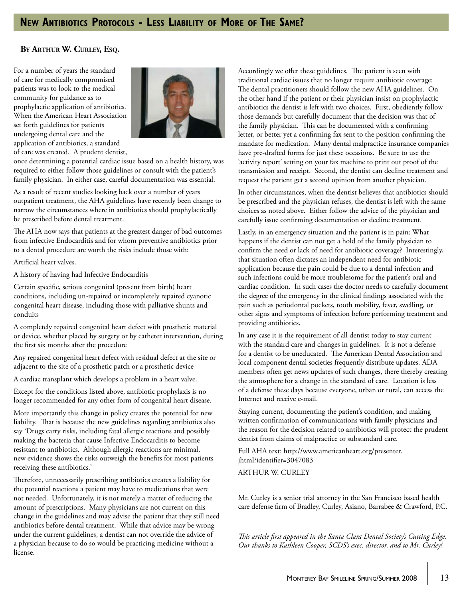#### **By Arthur W. Curley, Esq.**

For a number of years the standard of care for medically compromised patients was to look to the medical community for guidance as to prophylactic application of antibiotics. When the American Heart Association set forth guidelines for patients undergoing dental care and the application of antibiotics, a standard of care was created. A prudent dentist,



once determining a potential cardiac issue based on a health history, was required to either follow those guidelines or consult with the patient's family physician. In either case, careful documentation was essential.

As a result of recent studies looking back over a number of years outpatient treatment, the AHA guidelines have recently been change to narrow the circumstances where in antibiotics should prophylactically be prescribed before dental treatment.

The AHA now says that patients at the greatest danger of bad outcomes from infective Endocarditis and for whom preventive antibiotics prior to a dental procedure are worth the risks include those with:

Artificial heart valves.

A history of having had Infective Endocarditis

Certain specific, serious congenital (present from birth) heart conditions, including un-repaired or incompletely repaired cyanotic congenital heart disease, including those with palliative shunts and conduits

A completely repaired congenital heart defect with prosthetic material or device, whether placed by surgery or by catheter intervention, during the first six months after the procedure

Any repaired congenital heart defect with residual defect at the site or adjacent to the site of a prosthetic patch or a prosthetic device

A cardiac transplant which develops a problem in a heart valve.

Except for the conditions listed above, antibiotic prophylaxis is no longer recommended for any other form of congenital heart disease.

More importantly this change in policy creates the potential for new liability. That is because the new guidelines regarding antibiotics also say 'Drugs carry risks, including fatal allergic reactions and possibly making the bacteria that cause Infective Endocarditis to become resistant to antibiotics. Although allergic reactions are minimal, new evidence shows the risks outweigh the benefits for most patients receiving these antibiotics.'

Therefore, unnecessarily prescribing antibiotics creates a liability for the potential reactions a patient may have to medications that were not needed. Unfortunately, it is not merely a matter of reducing the amount of prescriptions. Many physicians are not current on this change in the guidelines and may advise the patient that they still need antibiotics before dental treatment. While that advice may be wrong under the current guidelines, a dentist can not override the advice of a physician because to do so would be practicing medicine without a license.

Accordingly we offer these guidelines. The patient is seen with traditional cardiac issues that no longer require antibiotic coverage: The dental practitioners should follow the new AHA guidelines. On the other hand if the patient or their physician insist on prophylactic antibiotics the dentist is left with two choices. First, obediently follow those demands but carefully document that the decision was that of the family physician. This can be documented with a confirming letter, or better yet a confirming fax sent to the position confirming the mandate for medication. Many dental malpractice insurance companies have pre-drafted forms for just these occasions. Be sure to use the 'activity report' setting on your fax machine to print out proof of the transmission and receipt. Second, the dentist can decline treatment and request the patient get a second opinion from another physician.

In other circumstances, when the dentist believes that antibiotics should be prescribed and the physician refuses, the dentist is left with the same choices as noted above. Either follow the advice of the physician and carefully issue confirming documentation or decline treatment.

Lastly, in an emergency situation and the patient is in pain: What happens if the dentist can not get a hold of the family physician to confirm the need or lack of need for antibiotic coverage? Interestingly, that situation often dictates an independent need for antibiotic application because the pain could be due to a dental infection and such infections could be more troublesome for the patient's oral and cardiac condition. In such cases the doctor needs to carefully document the degree of the emergency in the clinical findings associated with the pain such as periodontal pockets, tooth mobility, fever, swelling, or other signs and symptoms of infection before performing treatment and providing antibiotics.

In any case it is the requirement of all dentist today to stay current with the standard care and changes in guidelines. It is not a defense for a dentist to be uneducated. The American Dental Association and local component dental societies frequently distribute updates. ADA members often get news updates of such changes, there thereby creating the atmosphere for a change in the standard of care. Location is less of a defense these days because everyone, urban or rural, can access the Internet and receive e-mail.

Staying current, documenting the patient's condition, and making written confirmation of communications with family physicians and the reason for the decision related to antibiotics will protect the prudent dentist from claims of malpractice or substandard care.

Full AHA text: http://www.americanheart.org/presenter. jhtml?identifier=3047083

ARTHUR W. CURLEY

Mr. Curley is a senior trial attorney in the San Francisco based health care defense firm of Bradley, Curley, Asiano, Barrabee & Crawford, P.C.

*This article first appeared in the Santa Clara Dental Society's Cutting Edge. Our thanks to Kathleen Cooper, SCDS's exec. director, and to Mr. Curley!*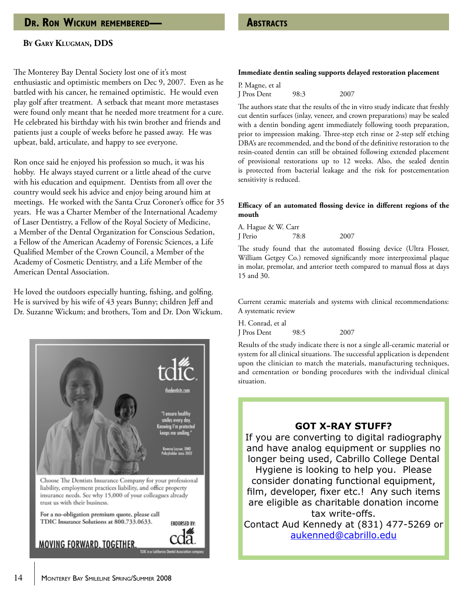# **DR. RON WICKUM REMEMBERED— ABSTRACTS**

#### **By Gary Klugman, DDS**

The Monterey Bay Dental Society lost one of it's most enthusiastic and optimistic members on Dec 9, 2007. Even as he battled with his cancer, he remained optimistic. He would even play golf after treatment. A setback that meant more metastases were found only meant that he needed more treatment for a cure. He celebrated his birthday with his twin brother and friends and patients just a couple of weeks before he passed away. He was upbeat, bald, articulate, and happy to see everyone.

Ron once said he enjoyed his profession so much, it was his hobby. He always stayed current or a little ahead of the curve with his education and equipment. Dentists from all over the country would seek his advice and enjoy being around him at meetings. He worked with the Santa Cruz Coroner's office for 35 years. He was a Charter Member of the International Academy of Laser Dentistry, a Fellow of the Royal Society of Medicine, a Member of the Dental Organization for Conscious Sedation, a Fellow of the American Academy of Forensic Sciences, a Life Qualified Member of the Crown Council, a Member of the Academy of Cosmetic Dentistry, and a Life Member of the American Dental Association.

He loved the outdoors especially hunting, fishing, and golfing. He is survived by his wife of 43 years Bunny; children Jeff and Dr. Suzanne Wickum; and brothers, Tom and Dr. Don Wickum.



#### **Immediate dentin sealing supports delayed restoration placement**

P. Magne, et al J Pros Dent 98:3 2007

The authors state that the results of the in vitro study indicate that freshly cut dentin surfaces (inlay, veneer, and crown preparations) may be sealed with a dentin bonding agent immediately following tooth preparation, prior to impression making. Three-step etch rinse or 2-step self etching DBA's are recommended, and the bond of the definitive restoration to the resin-coated dentin can still be obtained following extended placement of provisional restorations up to 12 weeks. Also, the sealed dentin is protected from bacterial leakage and the risk for postcementation sensitivity is reduced.

#### **Efficacy of an automated flossing device in different regions of the mouth**

A. Hague & W. Carr J Perio 78:8 2007

The study found that the automated flossing device (Ultra Flosser, William Getgey Co.) removed significantly more interproximal plaque in molar, premolar, and anterior teeth compared to manual floss at days 15 and 30.

Current ceramic materials and systems with clinical recommendations: A systematic review

H. Conrad, et al J Pros Dent 98:5 2007

Results of the study indicate there is not a single all-ceramic material or system for all clinical situations. The successful application is dependent upon the clinician to match the materials, manufacturing techniques, and cementation or bonding procedures with the individual clinical situation.

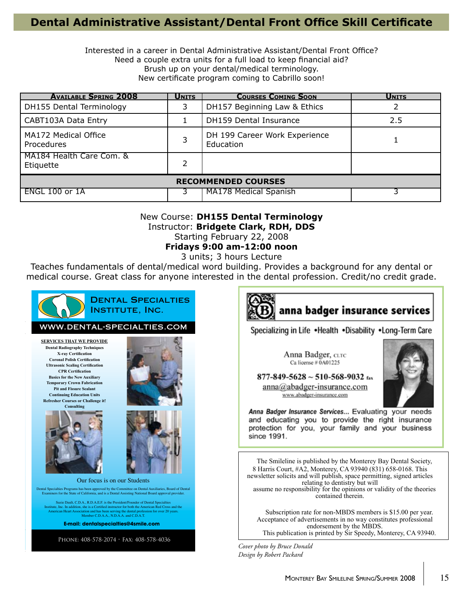# **Dental Administrative Assistant/Dental Front Office Skill Certificate**

Interested in a career in Dental Administrative Assistant/Dental Front Office? Need a couple extra units for a full load to keep financial aid? Brush up on your dental/medical terminology. New certificate program coming to Cabrillo soon!

| <b>AVAILABLE SPRING 2008</b>              | <b>UNITS</b>  | <b>COURSES COMING SOON</b>                 | <b>UNITS</b> |  |  |  |
|-------------------------------------------|---------------|--------------------------------------------|--------------|--|--|--|
| DH155 Dental Terminology                  |               | DH157 Beginning Law & Ethics               |              |  |  |  |
| CABT103A Data Entry                       |               | <b>DH159 Dental Insurance</b>              | 2.5          |  |  |  |
| MA172 Medical Office<br><b>Procedures</b> |               | DH 199 Career Work Experience<br>Education |              |  |  |  |
| MA184 Health Care Com. &<br>Etiquette     | $\mathcal{P}$ |                                            |              |  |  |  |
| <b>RECOMMENDED COURSES</b>                |               |                                            |              |  |  |  |
| <b>ENGL 100 or 1A</b>                     |               | MA178 Medical Spanish                      |              |  |  |  |

# New Course: **DH155 Dental Terminology** Instructor: **Bridgete Clark, RDH, DDS**

Starting February 22, 2008

**Fridays 9:00 am-12:00 noon**

3 units; 3 hours Lecture

Teaches fundamentals of dental/medical word building. Provides a background for any dental or medical course. Great class for anyone interested in the dental profession. Credit/no credit grade.





Specializing in Life . Health . Disability . Long-Term Care

Anna Badger, CLTC Ca license # 0A01225



 $877 - 849 - 5628 \sim 510 - 568 - 9032$  fax  $anna@abadger-insurance.com$ www.abadger-insurance.com

Anna Badger Insurance Services... Evaluating your needs and educating you to provide the right insurance protection for you, your family and your business since 1991.

The Smileline is published by the Monterey Bay Dental Society, 8 Harris Court, #A2, Monterey, CA 93940 (831) 658-0168. This newsletter solicits and will publish, space permitting, signed articles relating to dentistry but will assume no responsibility for the opinions or validity of the theories contained therein.

Subscription rate for non-MBDS members is \$15.00 per year. Acceptance of advertisements in no way constitutes professional endorsement by the MBDS. This publication is printed by Sir Speedy, Monterey, CA 93940.

*Cover photo by Bruce Donald Design by Robert Packard*